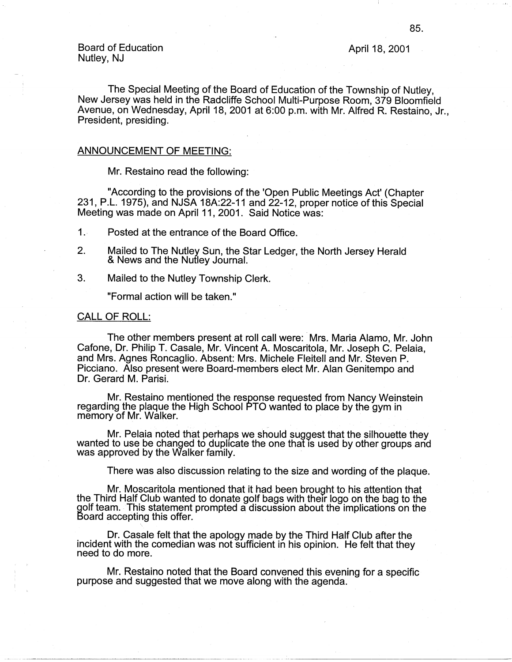Board of Education Nutley, NJ

April 18, 2001

The Special Meeting of the Board of Education of the Township of Nutley, New Jersey was held in the Radcliffe School Multi-Purpose Room, 379 Bloomfield Avenue, on Wednesday, April 18, 2001 at 6:00 p.m. with Mr. Alfred R. Restaino, Jr., President, presiding.

### ANNOUNCEMENT OF MEETING:

Mr. Restaino read the following:

"According to the provisions of the 'Open Public Meetings Act' (Chapter 231, P.L. 1975), and NJSA 18A:22-11 and 22-12, proper notice of this Special Meeting was made on April 11, 2001. Said Notice was:

1. Posted at the entrance of the Board Office.

- 2. Mailed to The Nutley Sun, the Star Ledger, the North Jersey Herald & News and the Nutley Journal.
- 3. Mailed to the Nutley Township Clerk.

"Formal action will be taken."

### CALL OF ROLL:

The other members present at roll call were: Mrs. Maria Alamo, Mr. John Catone, Dr. Philip T. Casale, Mr. Vincent A. Moscaritola, Mr. Joseph C. Pelaia, and Mrs. Agnes Roncaglio. Absent: Mrs. Michele Fleitell and Mr. Steven P. Picciano. Also present were Board-members elect Mr. Alan Genitempo and Dr. Gerard M. Parisi.

Mr. Restaino mentioned the response requested from Nancy Weinstein regarding the plaque the High School PTO wanted to place by the gym in memory of Mr. Walker.

Mr. Pelaia noted that perhaps we should suggest that the silhouette they wanted to use be changed to duplicate the one that is used by other groups and was approved by the Walker family.

There was also discussion relating to the size and wording of the plaque.

Mr. Moscaritola mentioned that it had been brought to his attention that<br>the Third Half Club wanted to donate golf bags with their logo on the bag to the<br>golf team. This statement prompted a discussion about the implicatio Board accepting this offer.

Dr. Casale felt that the apology made by the Third Half Club after the incident with the comedian was not sufficient in his opinion. He felt that they need to do more.

Mr. Restaino noted that the Board convened this evening for a specific purpose and suggested that we move along with the agenda.